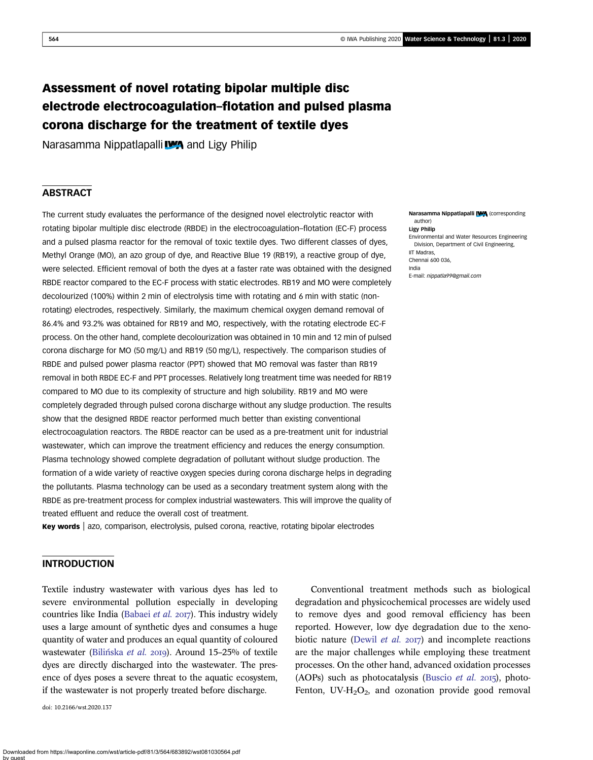# Assessment of novel rotating bipolar multiple disc electrode electrocoagulation–flotation and pulsed plasma corona discharge for the treatment of textile dyes

Narasamma Nippatlapalli **WA** and Ligy Philip

### **ABSTRACT**

The current study evaluates the performance of the designed novel electrolytic reactor with rotating bipolar multiple disc electrode (RBDE) in the electrocoagulation–flotation (EC-F) process and a pulsed plasma reactor for the removal of toxic textile dyes. Two different classes of dyes, Methyl Orange (MO), an azo group of dye, and Reactive Blue 19 (RB19), a reactive group of dye, were selected. Efficient removal of both the dyes at a faster rate was obtained with the designed RBDE reactor compared to the EC-F process with static electrodes. RB19 and MO were completely decolourized (100%) within 2 min of electrolysis time with rotating and 6 min with static (nonrotating) electrodes, respectively. Similarly, the maximum chemical oxygen demand removal of 86.4% and 93.2% was obtained for RB19 and MO, respectively, with the rotating electrode EC-F process. On the other hand, complete decolourization was obtained in 10 min and 12 min of pulsed corona discharge for MO (50 mg/L) and RB19 (50 mg/L), respectively. The comparison studies of RBDE and pulsed power plasma reactor (PPT) showed that MO removal was faster than RB19 removal in both RBDE EC-F and PPT processes. Relatively long treatment time was needed for RB19 compared to MO due to its complexity of structure and high solubility. RB19 and MO were completely degraded through pulsed corona discharge without any sludge production. The results show that the designed RBDE reactor performed much better than existing conventional electrocoagulation reactors. The RBDE reactor can be used as a pre-treatment unit for industrial wastewater, which can improve the treatment efficiency and reduces the energy consumption. Plasma technology showed complete degradation of pollutant without sludge production. The formation of a wide variety of reactive oxygen species during corona discharge helps in degrading the pollutants. Plasma technology can be used as a secondary treatment system along with the RBDE as pre-treatment process for complex industrial wastewaters. This will improve the quality of treated effluent and reduce the overall cost of treatment.

Key words | azo, comparison, electrolysis, pulsed corona, reactive, rotating bipolar electrodes

## INTRODUCTION

Textile industry wastewater with various dyes has led to severe environmental pollution especially in developing countries like India (Babaei *et al.* 2017). This industry widely uses a large amount of synthetic dyes and consumes a huge quantity of water and produces an equal quantity of coloured wastewater (Bilińska *et al.* 2019). Around 15–25% of textile dyes are directly discharged into the wastewater. The presence of dyes poses a severe threat to the aquatic ecosystem, if the wastewater is not properly treated before discharge.

doi: 10.2166/wst.2020.137

#### Narasamma Nippatlapalli **[WA** (corresponding author)

Ligy Philip Environmental and Water Resources Engineering Division, Department of Civil Engineering, **IIT Madras** Chennai 600 036, India E-mail: nippatla99@gmail.com

Conventional treatment methods such as biological degradation and physicochemical processes are widely used to remove dyes and good removal efficiency has been reported. However, low dye degradation due to the xenobiotic nature (Dewil *et al.* 2017) and incomplete reactions are the major challenges while employing these treatment processes. On the other hand, advanced oxidation processes (AOPs) such as photocatalysis (Buscio *et al.* 2015), photo-Fenton,  $UV-H<sub>2</sub>O<sub>2</sub>$ , and ozonation provide good removal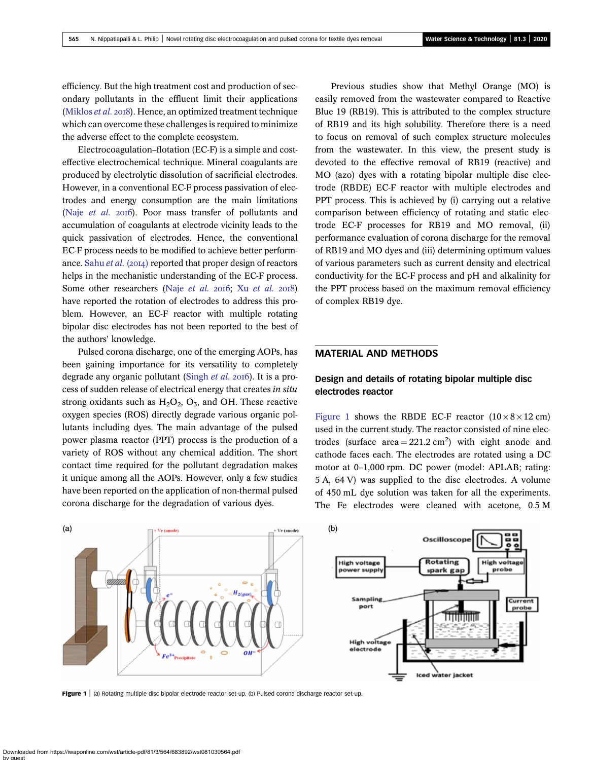efficiency. But the high treatment cost and production of secondary pollutants in the effluent limit their applications (Miklos *et al.* 2018). Hence, an optimized treatment technique which can overcome these challenges is required to minimize the adverse effect to the complete ecosystem.

Electrocoagulation–flotation (EC-F) is a simple and costeffective electrochemical technique. Mineral coagulants are produced by electrolytic dissolution of sacrificial electrodes. However, in a conventional EC-F process passivation of electrodes and energy consumption are the main limitations (Naje *et al.* 2016). Poor mass transfer of pollutants and accumulation of coagulants at electrode vicinity leads to the quick passivation of electrodes. Hence, the conventional EC-F process needs to be modified to achieve better performance. Sahu *et al.* (2014) reported that proper design of reactors helps in the mechanistic understanding of the EC-F process. Some other researchers (Naje *et al.* 2016; Xu *et al.* 2018) have reported the rotation of electrodes to address this problem. However, an EC-F reactor with multiple rotating bipolar disc electrodes has not been reported to the best of the authors' knowledge.

Pulsed corona discharge, one of the emerging AOPs, has been gaining importance for its versatility to completely degrade any organic pollutant (Singh *et al.* 2016). It is a process of sudden release of electrical energy that creates *in situ* strong oxidants such as  $H_2O_2$ ,  $O_3$ , and OH. These reactive oxygen species (ROS) directly degrade various organic pollutants including dyes. The main advantage of the pulsed power plasma reactor (PPT) process is the production of a variety of ROS without any chemical addition. The short contact time required for the pollutant degradation makes it unique among all the AOPs. However, only a few studies have been reported on the application of non-thermal pulsed corona discharge for the degradation of various dyes.

Previous studies show that Methyl Orange (MO) is easily removed from the wastewater compared to Reactive Blue 19 (RB19). This is attributed to the complex structure of RB19 and its high solubility. Therefore there is a need to focus on removal of such complex structure molecules from the wastewater. In this view, the present study is devoted to the effective removal of RB19 (reactive) and MO (azo) dyes with a rotating bipolar multiple disc electrode (RBDE) EC-F reactor with multiple electrodes and PPT process. This is achieved by (i) carrying out a relative comparison between efficiency of rotating and static electrode EC-F processes for RB19 and MO removal, (ii) performance evaluation of corona discharge for the removal of RB19 and MO dyes and (iii) determining optimum values of various parameters such as current density and electrical conductivity for the EC-F process and pH and alkalinity for the PPT process based on the maximum removal efficiency of complex RB19 dye.

### MATERIAL AND METHODS

### Design and details of rotating bipolar multiple disc electrodes reactor

Figure 1 shows the RBDE EC-F reactor  $(10 \times 8 \times 12 \text{ cm})$ used in the current study. The reactor consisted of nine electrodes (surface area =  $221.2 \text{ cm}^2$ ) with eight anode and cathode faces each. The electrodes are rotated using a DC motor at 0–1,000 rpm. DC power (model: APLAB; rating: 5 A, 64 V) was supplied to the disc electrodes. A volume of 450 mL dye solution was taken for all the experiments. The Fe electrodes were cleaned with acetone, 0.5 M



Figure 1 | (a) Rotating multiple disc bipolar electrode reactor set-up. (b) Pulsed corona discharge reactor set-up.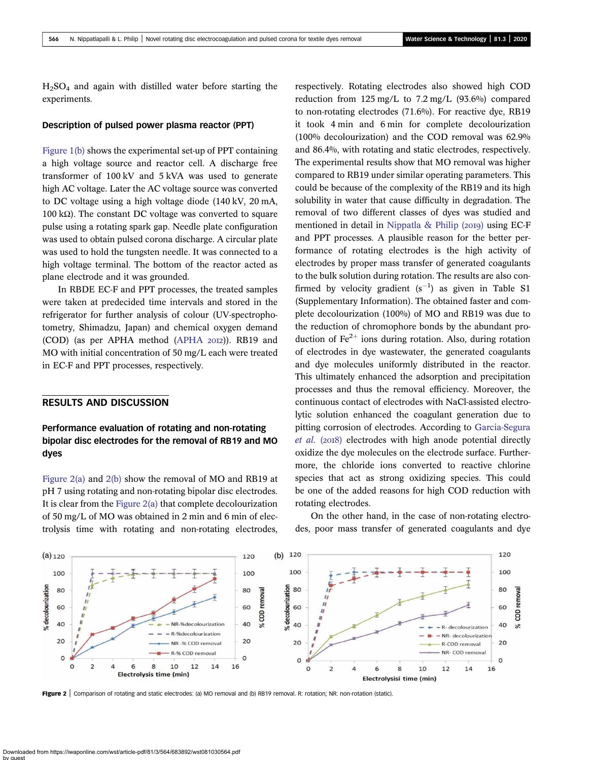$H<sub>2</sub>SO<sub>4</sub>$  and again with distilled water before starting the experiments.

#### Description of pulsed power plasma reactor (PPT)

Figure 1(b) shows the experimental set-up of PPT containing a high voltage source and reactor cell. A discharge free transformer of 100 kV and 5 kVA was used to generate high AC voltage. Later the AC voltage source was converted to DC voltage using a high voltage diode (140 kV, 20 mA, 100 kΩ). The constant DC voltage was converted to square pulse using a rotating spark gap. Needle plate configuration was used to obtain pulsed corona discharge. A circular plate was used to hold the tungsten needle. It was connected to a high voltage terminal. The bottom of the reactor acted as plane electrode and it was grounded.

In RBDE EC-F and PPT processes, the treated samples were taken at predecided time intervals and stored in the refrigerator for further analysis of colour (UV-spectrophotometry, Shimadzu, Japan) and chemical oxygen demand (COD) (as per APHA method (APHA 2012)). RB19 and MO with initial concentration of 50 mg/L each were treated in EC-F and PPT processes, respectively.

#### RESULTS AND DISCUSSION

## Performance evaluation of rotating and non-rotating bipolar disc electrodes for the removal of RB19 and MO dyes

Figure 2(a) and 2(b) show the removal of MO and RB19 at pH 7 using rotating and non-rotating bipolar disc electrodes. It is clear from the Figure 2(a) that complete decolourization of 50 mg/L of MO was obtained in 2 min and 6 min of electrolysis time with rotating and non-rotating electrodes, respectively. Rotating electrodes also showed high COD reduction from 125 mg/L to 7.2 mg/L (93.6%) compared to non-rotating electrodes (71.6%). For reactive dye, RB19 it took 4 min and 6 min for complete decolourization (100% decolourization) and the COD removal was 62.9% and 86.4%, with rotating and static electrodes, respectively. The experimental results show that MO removal was higher compared to RB19 under similar operating parameters. This could be because of the complexity of the RB19 and its high solubility in water that cause difficulty in degradation. The removal of two different classes of dyes was studied and mentioned in detail in Nippatla & Philip ( $20I9$ ) using EC-F and PPT processes. A plausible reason for the better performance of rotating electrodes is the high activity of electrodes by proper mass transfer of generated coagulants to the bulk solution during rotation. The results are also confirmed by velocity gradient  $(s^{-1})$  as given in Table S1 (Supplementary Information). The obtained faster and complete decolourization (100%) of MO and RB19 was due to the reduction of chromophore bonds by the abundant production of  $Fe<sup>2+</sup>$  ions during rotation. Also, during rotation of electrodes in dye wastewater, the generated coagulants and dye molecules uniformly distributed in the reactor. This ultimately enhanced the adsorption and precipitation processes and thus the removal efficiency. Moreover, the continuous contact of electrodes with NaCl-assisted electrolytic solution enhanced the coagulant generation due to pitting corrosion of electrodes. According to Garcia-Segura *et al.* (2018) electrodes with high anode potential directly oxidize the dye molecules on the electrode surface. Furthermore, the chloride ions converted to reactive chlorine species that act as strong oxidizing species. This could be one of the added reasons for high COD reduction with rotating electrodes.

On the other hand, in the case of non-rotating electrodes, poor mass transfer of generated coagulants and dye



Figure 2 | Comparison of rotating and static electrodes: (a) MO removal and (b) RB19 removal. R: rotation; NR: non-rotation (static).

Downloaded from https://iwaponline.com/wst/article-pdf/81/3/564/683892/wst081030564.pdf by guest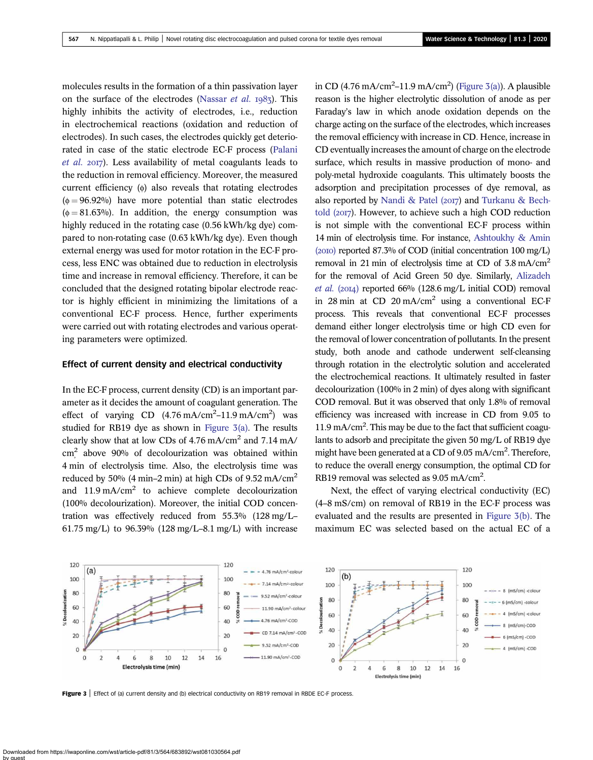molecules results in the formation of a thin passivation layer on the surface of the electrodes (Nassar *et al.* 1985). This highly inhibits the activity of electrodes, i.e., reduction in electrochemical reactions (oxidation and reduction of electrodes). In such cases, the electrodes quickly get deteriorated in case of the static electrode EC-F process (Palani et al. 2017). Less availability of metal coagulants leads to the reduction in removal efficiency. Moreover, the measured current efficiency  $(\phi)$  also reveals that rotating electrodes  $(\phi = 96.92\%)$  have more potential than static electrodes  $(\phi = 81.63\%)$ . In addition, the energy consumption was highly reduced in the rotating case (0.56 kWh/kg dye) compared to non-rotating case (0.63 kWh/kg dye). Even though external energy was used for motor rotation in the EC-F process, less ENC was obtained due to reduction in electrolysis time and increase in removal efficiency. Therefore, it can be concluded that the designed rotating bipolar electrode reactor is highly efficient in minimizing the limitations of a conventional EC-F process. Hence, further experiments were carried out with rotating electrodes and various operating parameters were optimized.

#### Effect of current density and electrical conductivity

In the EC-F process, current density (CD) is an important parameter as it decides the amount of coagulant generation. The effect of varying CD  $(4.76 \text{ mA/cm}^2 - 11.9 \text{ mA/cm}^2)$  was studied for RB19 dye as shown in Figure 3(a). The results clearly show that at low CDs of 4.76 mA/cm<sup>2</sup> and 7.14 mA/  $\text{cm}^2$  above 90% of decolourization was obtained within 4 min of electrolysis time. Also, the electrolysis time was reduced by 50% (4 min–2 min) at high CDs of 9.52 mA/cm<sup>2</sup> and  $11.9 \text{ mA/cm}^2$  to achieve complete decolourization (100% decolourization). Moreover, the initial COD concentration was effectively reduced from 55.3% (128 mg/L– 61.75 mg/L) to 96.39% (128 mg/L–8.1 mg/L) with increase

in CD (4.76 mA/cm<sup>2</sup>–11.9 mA/cm<sup>2</sup>) (Figure 3(a)). A plausible reason is the higher electrolytic dissolution of anode as per Faraday's law in which anode oxidation depends on the charge acting on the surface of the electrodes, which increases the removal efficiency with increase in CD. Hence, increase in CD eventually increases the amount of charge on the electrode surface, which results in massive production of mono- and poly-metal hydroxide coagulants. This ultimately boosts the adsorption and precipitation processes of dye removal, as also reported by Nandi & Patel (2017) and Turkanu & Bechtold  $(20I7)$ . However, to achieve such a high COD reduction is not simple with the conventional EC-F process within 14 min of electrolysis time. For instance, Ashtoukhy & Amin  $(20I0)$  reported 87.3% of COD (initial concentration 100 mg/L) removal in 21 min of electrolysis time at CD of 3.8 mA/cm<sup>2</sup> for the removal of Acid Green 50 dye. Similarly, Alizadeh *et al.* (2014) reported 66% (128.6 mg/L initial COD) removal in 28 min at CD 20 mA/cm<sup>2</sup> using a conventional EC-F process. This reveals that conventional EC-F processes demand either longer electrolysis time or high CD even for the removal of lower concentration of pollutants. In the present study, both anode and cathode underwent self-cleansing through rotation in the electrolytic solution and accelerated the electrochemical reactions. It ultimately resulted in faster decolourization (100% in 2 min) of dyes along with significant COD removal. But it was observed that only 1.8% of removal efficiency was increased with increase in CD from 9.05 to 11.9 mA/cm<sup>2</sup> . This may be due to the fact that sufficient coagulants to adsorb and precipitate the given 50 mg/L of RB19 dye might have been generated at a CD of 9.05 mA/cm<sup>2</sup>. Therefore, to reduce the overall energy consumption, the optimal CD for RB19 removal was selected as 9.05 mA/cm<sup>2</sup>.

Next, the effect of varying electrical conductivity (EC) (4–8 mS/cm) on removal of RB19 in the EC-F process was evaluated and the results are presented in Figure 3(b). The maximum EC was selected based on the actual EC of a



Figure 3 | Effect of (a) current density and (b) electrical conductivity on RB19 removal in RBDE EC-F process.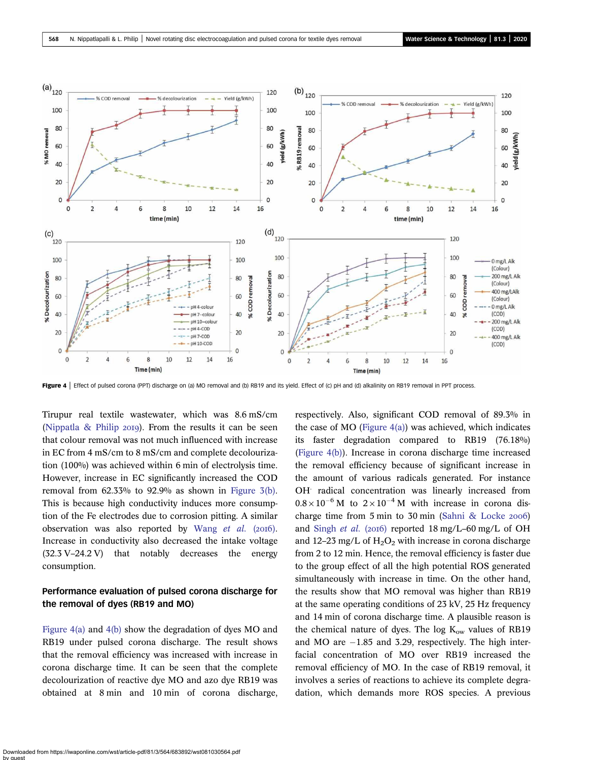

Figure 4 | Effect of pulsed corona (PPT) discharge on (a) MO removal and (b) RB19 and its yield. Effect of (c) pH and (d) alkalinity on RB19 removal in PPT process.

Tirupur real textile wastewater, which was 8.6 mS/cm (Nippatla  $\&$  Philip 2019). From the results it can be seen that colour removal was not much influenced with increase in EC from 4 mS/cm to 8 mS/cm and complete decolourization (100%) was achieved within 6 min of electrolysis time. However, increase in EC significantly increased the COD removal from  $62.33\%$  to  $92.9\%$  as shown in Figure  $3(b)$ . This is because high conductivity induces more consumption of the Fe electrodes due to corrosion pitting. A similar observation was also reported by Wang et al. (2016). Increase in conductivity also decreased the intake voltage (32.3 V–24.2 V) that notably decreases the energy consumption.

### Performance evaluation of pulsed corona discharge for the removal of dyes (RB19 and MO)

Figure 4(a) and 4(b) show the degradation of dyes MO and RB19 under pulsed corona discharge. The result shows that the removal efficiency was increased with increase in corona discharge time. It can be seen that the complete decolourization of reactive dye MO and azo dye RB19 was obtained at 8 min and 10 min of corona discharge, respectively. Also, significant COD removal of 89.3% in the case of MO (Figure  $4(a)$ ) was achieved, which indicates its faster degradation compared to RB19 (76.18%) (Figure 4(b)). Increase in corona discharge time increased the removal efficiency because of significant increase in the amount of various radicals generated. For instance OH. radical concentration was linearly increased from  $0.8 \times 10^{-6}$  M to  $2 \times 10^{-4}$  M with increase in corona discharge time from 5 min to 30 min (Sahni & Locke 2006) and Singh *et al.* (2016) reported 18 mg/L–60 mg/L of OH and 12–23 mg/L of  $H_2O_2$  with increase in corona discharge from 2 to 12 min. Hence, the removal efficiency is faster due to the group effect of all the high potential ROS generated simultaneously with increase in time. On the other hand, the results show that MO removal was higher than RB19 at the same operating conditions of 23 kV, 25 Hz frequency and 14 min of corona discharge time. A plausible reason is the chemical nature of dyes. The log  $K_{ow}$  values of RB19 and MO are  $-1.85$  and 3.29, respectively. The high interfacial concentration of MO over RB19 increased the removal efficiency of MO. In the case of RB19 removal, it involves a series of reactions to achieve its complete degradation, which demands more ROS species. A previous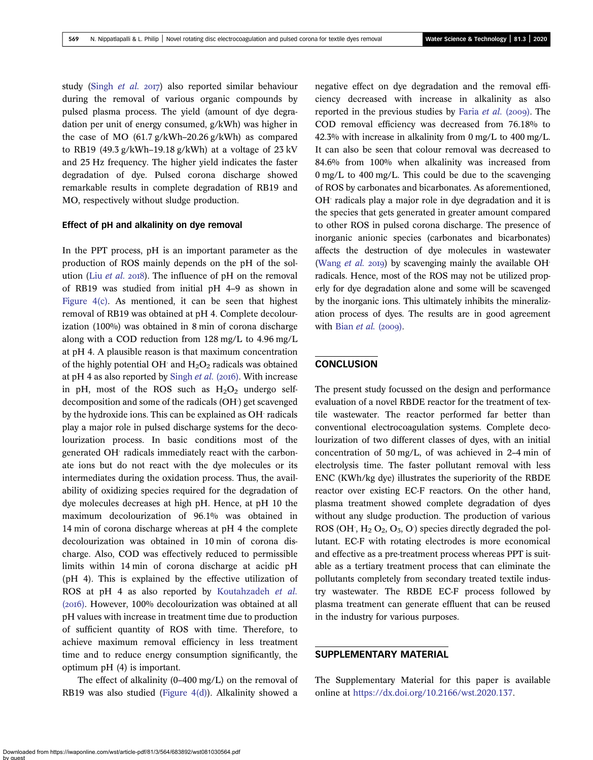study (Singh *et al.* 2017) also reported similar behaviour during the removal of various organic compounds by pulsed plasma process. The yield (amount of dye degradation per unit of energy consumed, g/kWh) was higher in the case of MO (61.7 g/kWh–20.26 g/kWh) as compared to RB19 (49.3 g/kWh–19.18 g/kWh) at a voltage of  $23$  kV and 25 Hz frequency. The higher yield indicates the faster degradation of dye. Pulsed corona discharge showed remarkable results in complete degradation of RB19 and MO, respectively without sludge production.

#### Effect of pH and alkalinity on dye removal

In the PPT process, pH is an important parameter as the production of ROS mainly depends on the pH of the solution (Liu *et al.* 2018). The influence of pH on the removal of RB19 was studied from initial pH 4–9 as shown in Figure  $4(c)$ . As mentioned, it can be seen that highest removal of RB19 was obtained at pH 4. Complete decolourization (100%) was obtained in 8 min of corona discharge along with a COD reduction from 128 mg/L to 4.96 mg/L at pH 4. A plausible reason is that maximum concentration of the highly potential OH and  $H_2O_2$  radicals was obtained at pH 4 as also reported by Singh et al. (2016). With increase in pH, most of the ROS such as  $H<sub>2</sub>O<sub>2</sub>$  undergo selfdecomposition and some of the radicals (OH) get scavenged by the hydroxide ions. This can be explained as OH radicals play a major role in pulsed discharge systems for the decolourization process. In basic conditions most of the generated OH. radicals immediately react with the carbonate ions but do not react with the dye molecules or its intermediates during the oxidation process. Thus, the availability of oxidizing species required for the degradation of dye molecules decreases at high pH. Hence, at pH 10 the maximum decolourization of 96.1% was obtained in 14 min of corona discharge whereas at pH 4 the complete decolourization was obtained in 10 min of corona discharge. Also, COD was effectively reduced to permissible limits within 14 min of corona discharge at acidic pH (pH 4). This is explained by the effective utilization of ROS at pH 4 as also reported by Koutahzadeh *et al.* (2016). However, 100% decolourization was obtained at all pH values with increase in treatment time due to production of sufficient quantity of ROS with time. Therefore, to achieve maximum removal efficiency in less treatment time and to reduce energy consumption significantly, the optimum pH (4) is important.

The effect of alkalinity (0–400 mg/L) on the removal of RB19 was also studied (Figure 4(d)). Alkalinity showed a

negative effect on dye degradation and the removal efficiency decreased with increase in alkalinity as also reported in the previous studies by Faria *et al.* (2009). The COD removal efficiency was decreased from 76.18% to 42.3% with increase in alkalinity from 0 mg/L to 400 mg/L. It can also be seen that colour removal was decreased to 84.6% from 100% when alkalinity was increased from 0 mg/L to 400 mg/L. This could be due to the scavenging of ROS by carbonates and bicarbonates. As aforementioned, OH. radicals play a major role in dye degradation and it is the species that gets generated in greater amount compared to other ROS in pulsed corona discharge. The presence of inorganic anionic species (carbonates and bicarbonates) affects the destruction of dye molecules in wastewater (Wang *et al.* 2019) by scavenging mainly the available OH<sup>.</sup> radicals. Hence, most of the ROS may not be utilized properly for dye degradation alone and some will be scavenged by the inorganic ions. This ultimately inhibits the mineralization process of dyes. The results are in good agreement with Bian *et al.* (2009).

### **CONCLUSION**

The present study focussed on the design and performance evaluation of a novel RBDE reactor for the treatment of textile wastewater. The reactor performed far better than conventional electrocoagulation systems. Complete decolourization of two different classes of dyes, with an initial concentration of 50 mg/L, of was achieved in 2–4 min of electrolysis time. The faster pollutant removal with less ENC (KWh/kg dye) illustrates the superiority of the RBDE reactor over existing EC-F reactors. On the other hand, plasma treatment showed complete degradation of dyes without any sludge production. The production of various ROS (OH,  $H_2$  O<sub>2</sub>, O<sub>3</sub>, O<sup>2</sup>) species directly degraded the pollutant. EC-F with rotating electrodes is more economical and effective as a pre-treatment process whereas PPT is suitable as a tertiary treatment process that can eliminate the pollutants completely from secondary treated textile industry wastewater. The RBDE EC-F process followed by plasma treatment can generate effluent that can be reused in the industry for various purposes.

#### SUPPLEMENTARY MATERIAL

The Supplementary Material for this paper is available online at https://dx.doi.org/10.2166/wst.2020.137.